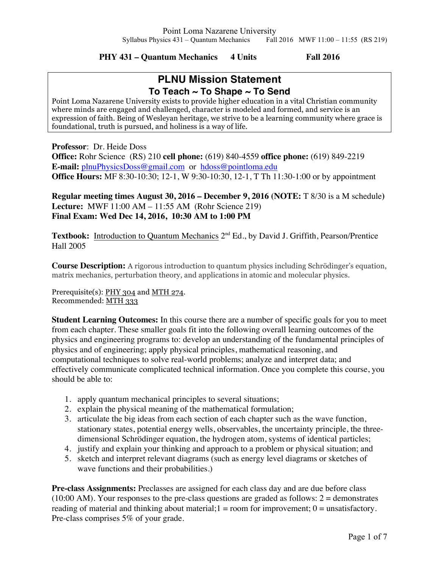**PHY 431 – Quantum Mechanics 4 Units Fall 2016**

# **PLNU Mission Statement To Teach ~ To Shape ~ To Send**

Point Loma Nazarene University exists to provide higher education in a vital Christian community where minds are engaged and challenged, character is modeled and formed, and service is an expression of faith. Being of Wesleyan heritage, we strive to be a learning community where grace is foundational, truth is pursued, and holiness is a way of life.

**Professor**: Dr. Heide Doss

**Office:** Rohr Science (RS) 210 **cell phone:** (619) 840-4559 **office phone:** (619) 849-2219 **E-mail:** plnuPhysicsDoss@gmail.com or hdoss@pointloma.edu **Office Hours:** MF 8:30-10:30; 12-1, W 9:30-10:30, 12-1, T Th 11:30-1:00 or by appointment

**Regular meeting times August 30, 2016 – December 9, 2016 (NOTE:** T 8/30 is a M schedule**) Lecture:** MWF 11:00 AM – 11:55 AM (Rohr Science 219) **Final Exam: Wed Dec 14, 2016, 10:30 AM to 1:00 PM** 

Textbook: Introduction to Quantum Mechanics 2<sup>nd</sup> Ed., by David J. Griffith, Pearson/Prentice Hall 2005

**Course Description:** A rigorous introduction to quantum physics including Schrödinger's equation, matrix mechanics, perturbation theory, and applications in atomic and molecular physics.

Prerequisite(s): PHY 304 and MTH 274. Recommended: MTH 333

**Student Learning Outcomes:** In this course there are a number of specific goals for you to meet from each chapter. These smaller goals fit into the following overall learning outcomes of the physics and engineering programs to: develop an understanding of the fundamental principles of physics and of engineering; apply physical principles, mathematical reasoning, and computational techniques to solve real-world problems; analyze and interpret data; and effectively communicate complicated technical information. Once you complete this course, you should be able to:

- 1. apply quantum mechanical principles to several situations;
- 2. explain the physical meaning of the mathematical formulation;
- 3. articulate the big ideas from each section of each chapter such as the wave function, stationary states, potential energy wells, observables, the uncertainty principle, the threedimensional Schrödinger equation, the hydrogen atom, systems of identical particles;
- 4. justify and explain your thinking and approach to a problem or physical situation; and
- 5. sketch and interpret relevant diagrams (such as energy level diagrams or sketches of wave functions and their probabilities.)

**Pre-class Assignments:** Preclasses are assigned for each class day and are due before class  $(10:00 \text{ AM})$ . Your responses to the pre-class questions are graded as follows: 2 = demonstrates reading of material and thinking about material;  $1 =$  room for improvement;  $0 =$  unsatisfactory. Pre-class comprises 5% of your grade.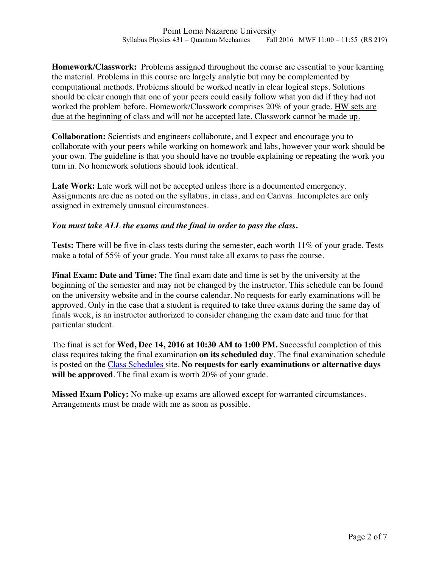**Homework/Classwork:** Problems assigned throughout the course are essential to your learning the material. Problems in this course are largely analytic but may be complemented by computational methods. Problems should be worked neatly in clear logical steps. Solutions should be clear enough that one of your peers could easily follow what you did if they had not worked the problem before. Homework/Classwork comprises 20% of your grade. HW sets are due at the beginning of class and will not be accepted late. Classwork cannot be made up.

**Collaboration:** Scientists and engineers collaborate, and I expect and encourage you to collaborate with your peers while working on homework and labs, however your work should be your own. The guideline is that you should have no trouble explaining or repeating the work you turn in. No homework solutions should look identical.

Late Work: Late work will not be accepted unless there is a documented emergency. Assignments are due as noted on the syllabus, in class, and on Canvas. Incompletes are only assigned in extremely unusual circumstances.

#### *You must take ALL the exams and the final in order to pass the class***.**

**Tests:** There will be five in-class tests during the semester, each worth 11% of your grade. Tests make a total of 55% of your grade. You must take all exams to pass the course.

**Final Exam: Date and Time:** The final exam date and time is set by the university at the beginning of the semester and may not be changed by the instructor. This schedule can be found on the university website and in the course calendar. No requests for early examinations will be approved. Only in the case that a student is required to take three exams during the same day of finals week, is an instructor authorized to consider changing the exam date and time for that particular student.

The final is set for **Wed, Dec 14, 2016 at 10:30 AM to 1:00 PM.** Successful completion of this class requires taking the final examination **on its scheduled day**. The final examination schedule is posted on the Class Schedules site. **No requests for early examinations or alternative days will be approved**. The final exam is worth 20% of your grade.

**Missed Exam Policy:** No make-up exams are allowed except for warranted circumstances. Arrangements must be made with me as soon as possible.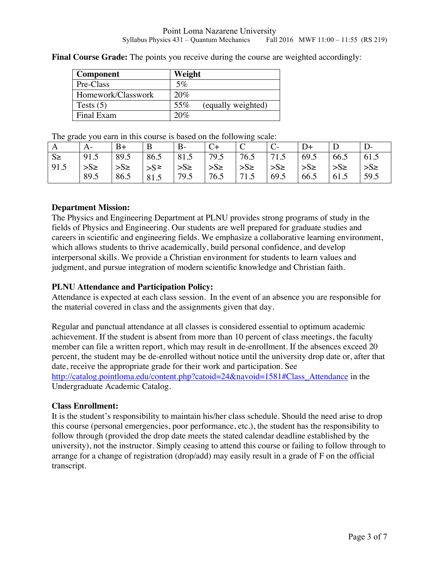| Component          | Weight                    |
|--------------------|---------------------------|
| Pre-Class          | 5%                        |
| Homework/Classwork | 20%                       |
| Tests $(5)$        | 55%<br>(equally weighted) |
| Final Exam         | 20%                       |

**Final Course Grade:** The points you receive during the course are weighted accordingly:

The grade you earn in this course is based on the following scale:

|         |                                                                                           | $B+$                                                                                               | $\mathbf{B}$ | $\mathbf{B}$ | $C_{+}$   | $\begin{array}{c} \begin{array}{c} \end{array}$ C | $\overline{C}$ | $D+$ |       |                       |
|---------|-------------------------------------------------------------------------------------------|----------------------------------------------------------------------------------------------------|--------------|--------------|-----------|---------------------------------------------------|----------------|------|-------|-----------------------|
| $S \ge$ | $\vert 91.5 \vert 89.5 \vert 86.5 \vert 81.5 \vert 79.5 \vert 76.5 \vert 71.5 \vert 69.5$ |                                                                                                    |              |              |           |                                                   |                |      | 166.5 | $\vert$ 61.5          |
| 91.5    | $\vert$ >S\2                                                                              | $ S_{\ge}$ $ S_{\ge}$ $ S_{\ge}$ $ S_{\ge}$ $ S_{\ge}$ $ S_{\ge}$ $ S_{\ge}$ $ S_{\ge}$ $ S_{\ge}$ |              |              |           |                                                   |                |      |       | $\Rightarrow$ S $\ge$ |
|         | 89.5                                                                                      | 86.5                                                                                               | 81.5         | 79.5         | 76.5 71.5 |                                                   | 69.5           | 66.5 | 61.5  | 59.5                  |

#### **Department Mission:**

The Physics and Engineering Department at PLNU provides strong programs of study in the fields of Physics and Engineering. Our students are well prepared for graduate studies and careers in scientific and engineering fields. We emphasize a collaborative learning environment, which allows students to thrive academically, build personal confidence, and develop interpersonal skills. We provide a Christian environment for students to learn values and judgment, and pursue integration of modern scientific knowledge and Christian faith.

# **PLNU Attendance and Participation Policy:**

Attendance is expected at each class session. In the event of an absence you are responsible for the material covered in class and the assignments given that day.

Regular and punctual attendance at all classes is considered essential to optimum academic achievement. If the student is absent from more than 10 percent of class meetings, the faculty member can file a written report, which may result in de-enrollment. If the absences exceed 20 percent, the student may be de-enrolled without notice until the university drop date or, after that date, receive the appropriate grade for their work and participation. See

http://catalog.pointloma.edu/content.php?catoid=24&navoid=1581#Class\_Attendance in the Undergraduate Academic Catalog.

#### **Class Enrollment:**

It is the student's responsibility to maintain his/her class schedule. Should the need arise to drop this course (personal emergencies, poor performance, etc.), the student has the responsibility to follow through (provided the drop date meets the stated calendar deadline established by the university), not the instructor. Simply ceasing to attend this course or failing to follow through to arrange for a change of registration (drop/add) may easily result in a grade of F on the official transcript.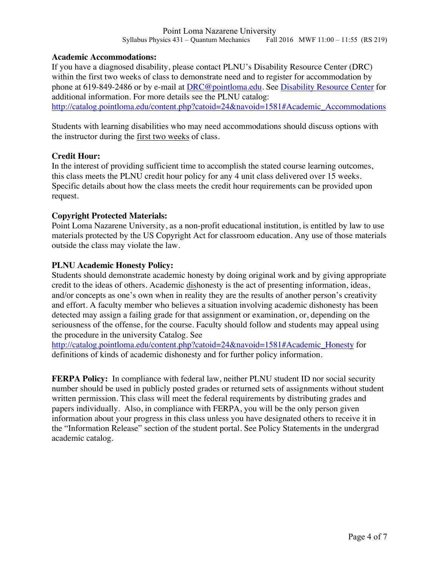#### **Academic Accommodations:**

If you have a diagnosed disability, please contact PLNU's Disability Resource Center (DRC) within the first two weeks of class to demonstrate need and to register for accommodation by phone at 619-849-2486 or by e-mail at DRC@pointloma.edu. See Disability Resource Center for additional information. For more details see the PLNU catalog: http://catalog.pointloma.edu/content.php?catoid=24&navoid=1581#Academic\_Accommodations

Students with learning disabilities who may need accommodations should discuss options with the instructor during the first two weeks of class.

# **Credit Hour:**

In the interest of providing sufficient time to accomplish the stated course learning outcomes, this class meets the PLNU credit hour policy for any 4 unit class delivered over 15 weeks. Specific details about how the class meets the credit hour requirements can be provided upon request.

# **Copyright Protected Materials:**

Point Loma Nazarene University, as a non-profit educational institution, is entitled by law to use materials protected by the US Copyright Act for classroom education. Any use of those materials outside the class may violate the law.

# **PLNU Academic Honesty Policy:**

Students should demonstrate academic honesty by doing original work and by giving appropriate credit to the ideas of others. Academic dishonesty is the act of presenting information, ideas, and/or concepts as one's own when in reality they are the results of another person's creativity and effort. A faculty member who believes a situation involving academic dishonesty has been detected may assign a failing grade for that assignment or examination, or, depending on the seriousness of the offense, for the course. Faculty should follow and students may appeal using the procedure in the university Catalog. See

http://catalog.pointloma.edu/content.php?catoid=24&navoid=1581#Academic\_Honesty for definitions of kinds of academic dishonesty and for further policy information.

**FERPA Policy:** In compliance with federal law, neither PLNU student ID nor social security number should be used in publicly posted grades or returned sets of assignments without student written permission. This class will meet the federal requirements by distributing grades and papers individually. Also, in compliance with FERPA, you will be the only person given information about your progress in this class unless you have designated others to receive it in the "Information Release" section of the student portal. See Policy Statements in the undergrad academic catalog.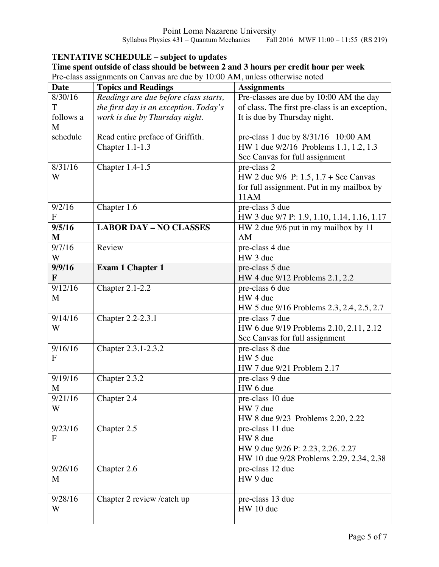# **TENTATIVE SCHEDULE – subject to updates**

| Time spent outside of class should be between 2 and 3 hours per credit hour per week |
|--------------------------------------------------------------------------------------|
| Pre-class assignments on Canvas are due by 10:00 AM, unless otherwise noted          |

| <b>Date</b>    | <b>Topics and Readings</b>             | <b>Assignments</b>                             |
|----------------|----------------------------------------|------------------------------------------------|
| 8/30/16        | Readings are due before class starts,  | Pre-classes are due by 10:00 AM the day        |
| T              | the first day is an exception. Today's | of class. The first pre-class is an exception, |
| follows a<br>M | work is due by Thursday night.         | It is due by Thursday night.                   |
| schedule       | Read entire preface of Griffith.       | pre-class 1 due by 8/31/16 10:00 AM            |
|                | Chapter 1.1-1.3                        | HW 1 due 9/2/16 Problems 1.1, 1.2, 1.3         |
|                |                                        | See Canvas for full assignment                 |
| 8/31/16        | Chapter 1.4-1.5                        | pre-class 2                                    |
| W              |                                        | HW 2 due 9/6 P: 1.5, 1.7 + See Canvas          |
|                |                                        | for full assignment. Put in my mailbox by      |
|                |                                        | 11AM                                           |
| 9/2/16         | Chapter $1.\overline{6}$               | pre-class 3 due                                |
| $\overline{F}$ |                                        | HW 3 due 9/7 P: 1.9, 1.10, 1.14, 1.16, 1.17    |
| 9/5/16         | <b>LABOR DAY - NO CLASSES</b>          | HW 2 due 9/6 put in my mailbox by 11           |
| $\mathbf{M}$   |                                        | AM                                             |
| 9/7/16         | Review                                 | pre-class 4 due                                |
| W              |                                        | HW 3 due                                       |
| 9/9/16         | <b>Exam 1 Chapter 1</b>                | pre-class 5 due                                |
| F              |                                        | HW 4 due 9/12 Problems 2.1, 2.2                |
| 9/12/16        | Chapter 2.1-2.2                        | pre-class 6 due                                |
| M              |                                        | HW 4 due                                       |
|                |                                        | HW 5 due 9/16 Problems 2.3, 2.4, 2.5, 2.7      |
| 9/14/16        | Chapter 2.2-2.3.1                      | pre-class 7 due                                |
| W              |                                        | HW 6 due 9/19 Problems 2.10, 2.11, 2.12        |
|                |                                        | See Canvas for full assignment                 |
| 9/16/16        | Chapter 2.3.1-2.3.2                    | pre-class 8 due                                |
| F              |                                        | HW 5 due                                       |
|                |                                        | HW 7 due 9/21 Problem 2.17                     |
| 9/19/16        | Chapter 2.3.2                          | pre-class 9 due                                |
| M              |                                        | HW 6 due                                       |
| 9/21/16        | Chapter 2.4                            | pre-class 10 due                               |
| W              |                                        | HW 7 due                                       |
|                |                                        | HW 8 due 9/23 Problems 2.20, 2.22              |
| 9/23/16        | Chapter $2.5$                          | pre-class 11 due                               |
| F              |                                        | HW 8 due                                       |
|                |                                        | HW 9 due 9/26 P: 2.23, 2.26. 2.27              |
|                |                                        | HW 10 due 9/28 Problems 2.29, 2.34, 2.38       |
| 9/26/16        | Chapter 2.6                            | pre-class 12 due                               |
| M              |                                        | HW 9 due                                       |
|                |                                        |                                                |
| 9/28/16<br>W   | Chapter 2 review /catch up             | pre-class 13 due                               |
|                |                                        | HW 10 due                                      |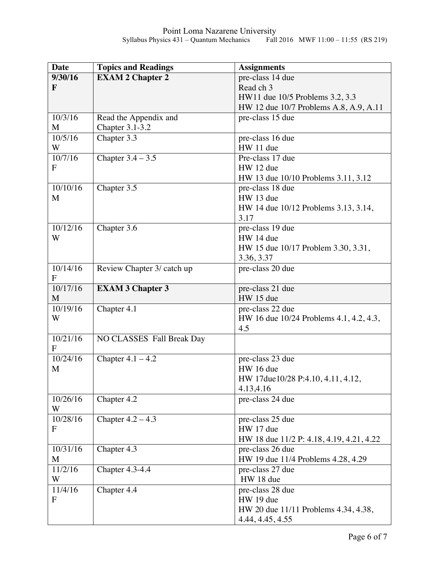| <b>Date</b>  | <b>Topics and Readings</b> | <b>Assignments</b>                       |
|--------------|----------------------------|------------------------------------------|
| 9/30/16      | <b>EXAM 2 Chapter 2</b>    | pre-class 14 due                         |
| F            |                            | Read ch 3                                |
|              |                            | HW11 due 10/5 Problems 3.2, 3.3          |
|              |                            | HW 12 due 10/7 Problems A.8, A.9, A.11   |
| 10/3/16      | Read the Appendix and      | pre-class 15 due                         |
| M            | <b>Chapter 3.1-3.2</b>     |                                          |
| 10/5/16      | Chapter 3.3                | pre-class 16 due                         |
| W            |                            | HW 11 due                                |
| 10/7/16      | Chapter $3.4 - 3.5$        | Pre-class 17 due                         |
| $\mathbf{F}$ |                            | HW 12 due                                |
|              |                            | HW 13 due 10/10 Problems 3.11, 3.12      |
| 10/10/16     | Chapter 3.5                | pre-class 18 due                         |
| M            |                            | HW 13 due                                |
|              |                            | HW 14 due 10/12 Problems 3.13, 3.14,     |
|              |                            | 3.17                                     |
| 10/12/16     | Chapter $3.\overline{6}$   | pre-class 19 due                         |
| W            |                            | HW 14 due                                |
|              |                            | HW 15 due 10/17 Problem 3.30, 3.31,      |
|              |                            | 3.36, 3.37                               |
| 10/14/16     | Review Chapter 3/ catch up | pre-class 20 due                         |
| $\mathbf{F}$ |                            |                                          |
| 10/17/16     | <b>EXAM 3 Chapter 3</b>    | pre-class 21 due                         |
| M            |                            | HW 15 due                                |
| 10/19/16     | Chapter 4.1                | pre-class 22 due                         |
| W            |                            | HW 16 due 10/24 Problems 4.1, 4.2, 4.3,  |
|              |                            | 4.5                                      |
| 10/21/16     | NO CLASSES Fall Break Day  |                                          |
| $\mathbf F$  |                            |                                          |
| 10/24/16     | Chapter $4.1 - 4.2$        | pre-class 23 due                         |
| M            |                            | HW 16 due                                |
|              |                            | HW 17due10/28 P:4.10, 4.11, 4.12,        |
|              |                            | 4.13,4.16                                |
| 10/26/16     | Chapter 4.2                | pre-class 24 due                         |
| W            |                            |                                          |
| 10/28/16     | Chapter $4.2 - 4.3$        | pre-class 25 due                         |
| $\mathbf{F}$ |                            | HW 17 due                                |
|              |                            | HW 18 due 11/2 P: 4.18, 4.19, 4.21, 4.22 |
| 10/31/16     | Chapter 4.3                | pre-class 26 due                         |
| M            |                            | HW 19 due 11/4 Problems 4.28, 4.29       |
| 11/2/16      | <b>Chapter 4.3-4.4</b>     | pre-class 27 due                         |
| W            |                            | HW 18 due                                |
| 11/4/16      | Chapter 4.4                | pre-class 28 due                         |
| $\mathbf{F}$ |                            | HW 19 due                                |
|              |                            | HW 20 due 11/11 Problems 4.34, 4.38,     |
|              |                            | 4.44, 4.45, 4.55                         |